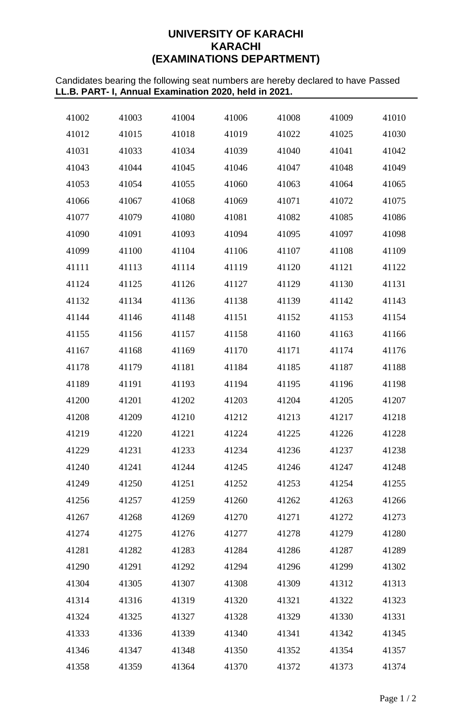# **UNIVERSITY OF KARACHI KARACHI (EXAMINATIONS DEPARTMENT)**

Candidates bearing the following seat numbers are hereby declared to have Passed **LL.B. PART- I, Annual Examination 2020, held in 2021.**

| 41002 | 41003 | 41004 | 41006 | 41008 | 41009 | 41010 |
|-------|-------|-------|-------|-------|-------|-------|
| 41012 | 41015 | 41018 | 41019 | 41022 | 41025 | 41030 |
| 41031 | 41033 | 41034 | 41039 | 41040 | 41041 | 41042 |
| 41043 | 41044 | 41045 | 41046 | 41047 | 41048 | 41049 |
| 41053 | 41054 | 41055 | 41060 | 41063 | 41064 | 41065 |
| 41066 | 41067 | 41068 | 41069 | 41071 | 41072 | 41075 |
| 41077 | 41079 | 41080 | 41081 | 41082 | 41085 | 41086 |
| 41090 | 41091 | 41093 | 41094 | 41095 | 41097 | 41098 |
| 41099 | 41100 | 41104 | 41106 | 41107 | 41108 | 41109 |
| 41111 | 41113 | 41114 | 41119 | 41120 | 41121 | 41122 |
| 41124 | 41125 | 41126 | 41127 | 41129 | 41130 | 41131 |
| 41132 | 41134 | 41136 | 41138 | 41139 | 41142 | 41143 |
| 41144 | 41146 | 41148 | 41151 | 41152 | 41153 | 41154 |
| 41155 | 41156 | 41157 | 41158 | 41160 | 41163 | 41166 |
| 41167 | 41168 | 41169 | 41170 | 41171 | 41174 | 41176 |
| 41178 | 41179 | 41181 | 41184 | 41185 | 41187 | 41188 |
| 41189 | 41191 | 41193 | 41194 | 41195 | 41196 | 41198 |
| 41200 | 41201 | 41202 | 41203 | 41204 | 41205 | 41207 |
| 41208 | 41209 | 41210 | 41212 | 41213 | 41217 | 41218 |
| 41219 | 41220 | 41221 | 41224 | 41225 | 41226 | 41228 |
| 41229 | 41231 | 41233 | 41234 | 41236 | 41237 | 41238 |
| 41240 | 41241 | 41244 | 41245 | 41246 | 41247 | 41248 |
| 41249 | 41250 | 41251 | 41252 | 41253 | 41254 | 41255 |
| 41256 | 41257 | 41259 | 41260 | 41262 | 41263 | 41266 |
| 41267 | 41268 | 41269 | 41270 | 41271 | 41272 | 41273 |
| 41274 | 41275 | 41276 | 41277 | 41278 | 41279 | 41280 |
| 41281 | 41282 | 41283 | 41284 | 41286 | 41287 | 41289 |
| 41290 | 41291 | 41292 | 41294 | 41296 | 41299 | 41302 |
| 41304 | 41305 | 41307 | 41308 | 41309 | 41312 | 41313 |
| 41314 | 41316 | 41319 | 41320 | 41321 | 41322 | 41323 |
| 41324 | 41325 | 41327 | 41328 | 41329 | 41330 | 41331 |
| 41333 | 41336 | 41339 | 41340 | 41341 | 41342 | 41345 |
| 41346 | 41347 | 41348 | 41350 | 41352 | 41354 | 41357 |
| 41358 | 41359 | 41364 | 41370 | 41372 | 41373 | 41374 |